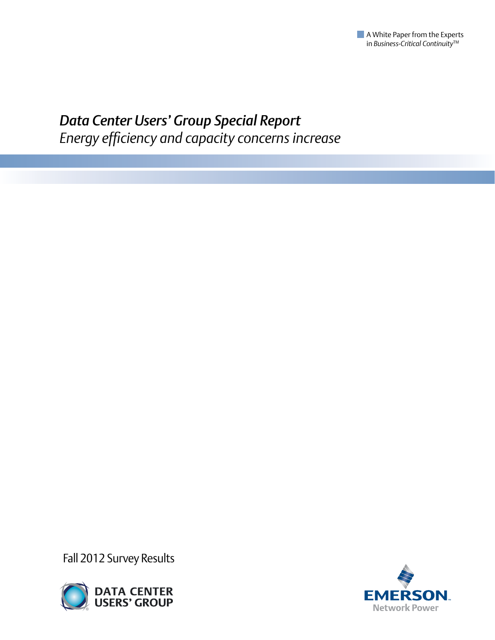

# *Data Center Users' Group Special Report Energy efficiency and capacity concerns increase*

Fall 2012 Survey Results



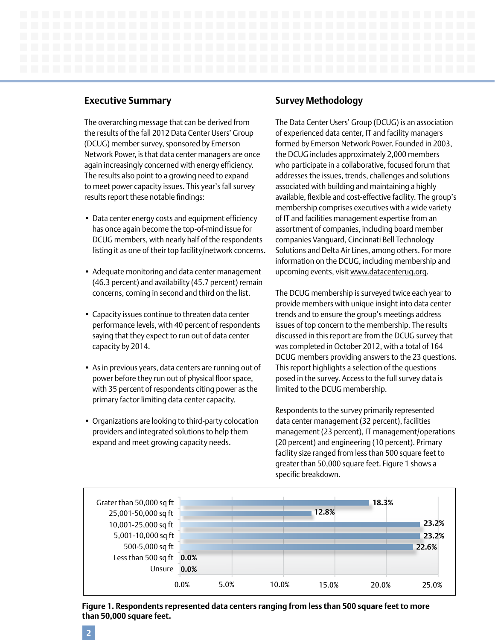# **Executive Summary**

The overarching message that can be derived from the results of the fall 2012 Data Center Users' Group (DCUG) member survey, sponsored by Emerson Network Power, is that data center managers are once again increasingly concerned with energy efficiency. The results also point to a growing need to expand to meet power capacity issues. This year's fall survey results report these notable findings:

- Data center energy costs and equipment efficiency has once again become the top-of-mind issue for DCUG members, with nearly half of the respondents listing it as one of their top facility/network concerns.
- Adequate monitoring and data center management (46.3 percent) and availability (45.7 percent) remain concerns, coming in second and third on the list.
- Capacity issues continue to threaten data center performance levels, with 40 percent of respondents saying that they expect to run out of data center capacity by 2014.
- As in previous years, data centers are running out of power before they run out of physical floor space, with 35 percent of respondents citing power as the primary factor limiting data center capacity.
- Organizations are looking to third-party colocation providers and integrated solutions to help them expand and meet growing capacity needs.

# **Survey Methodology**

The Data Center Users' Group (DCUG) is an association of experienced data center, IT and facility managers formed by Emerson Network Power. Founded in 2003, the DCUG includes approximately 2,000 members who participate in a collaborative, focused forum that addresses the issues, trends, challenges and solutions associated with building and maintaining a highly available, flexible and cost-effective facility. The group's membership comprises executives with a wide variety of IT and facilities management expertise from an assortment of companies, including board member companies Vanguard, Cincinnati Bell Technology Solutions and Delta Air Lines, among others. For more information on the DCUG, including membership and upcoming events, visit [www.datacenterug.org.](http://www.datacenterug.org)

The DCUG membership is surveyed twice each year to provide members with unique insight into data center trends and to ensure the group's meetings address issues of top concern to the membership. The results discussed in this report are from the DCUG survey that was completed in October 2012, with a total of 164 DCUG members providing answers to the 23 questions. This report highlights a selection of the questions posed in the survey. Access to the full survey data is limited to the DCUG membership.

Respondents to the survey primarily represented data center management (32 percent), facilities management (23 percent), IT management/operations (20 percent) and engineering (10 percent). Primary facility size ranged from less than 500 square feet to greater than 50,000 square feet. Figure 1 shows a specific breakdown.



**Figure 1. Respondents represented data centers ranging from less than 500 square feet to more than 50,000 square feet.**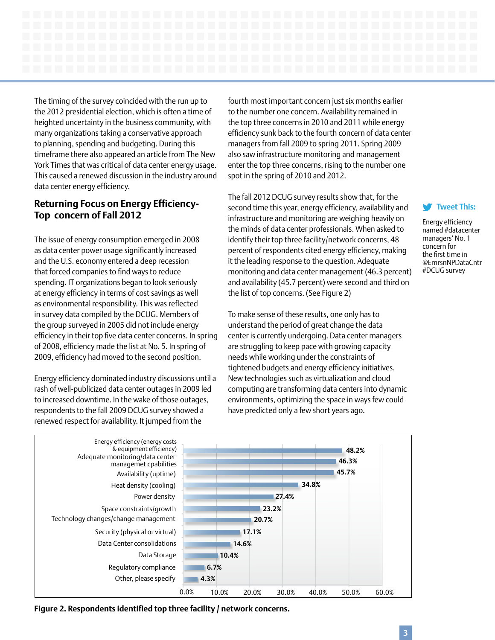The timing of the survey coincided with the run up to the 2012 presidential election, which is often a time of heighted uncertainty in the business community, with many organizations taking a conservative approach to planning, spending and budgeting. During this timeframe there also appeared an article from The New York Times that was critical of data center energy usage. This caused a renewed discussion in the industry around data center energy efficiency.

# **Returning Focus on Energy Efficiency-Top concern of Fall 2012**

The issue of energy consumption emerged in 2008 as data center power usage significantly increased and the U.S. economy entered a deep recession that forced companies to find ways to reduce spending. IT organizations began to look seriously at energy efficiency in terms of cost savings as well as environmental responsibility. This was reflected in survey data compiled by the DCUG. Members of the group surveyed in 2005 did not include energy efficiency in their top five data center concerns. In spring of 2008, efficiency made the list at No. 5. In spring of 2009, efficiency had moved to the second position.

Energy efficiency dominated industry discussions until a rash of well-publicized data center outages in 2009 led to increased downtime. In the wake of those outages, respondents to the fall 2009 DCUG survey showed a renewed respect for availability. It jumped from the

fourth most important concern just six months earlier to the number one concern. Availability remained in the top three concerns in 2010 and 2011 while energy efficiency sunk back to the fourth concern of data center managers from fall 2009 to spring 2011. Spring 2009 also saw infrastructure monitoring and management enter the top three concerns, rising to the number one spot in the spring of 2010 and 2012.

The fall 2012 DCUG survey results show that, for the second time this year, energy efficiency, availability and infrastructure and monitoring are weighing heavily on the minds of data center professionals. When asked to identify their top three facility/network concerns, 48 percent of respondents cited energy efficiency, making it the leading response to the question. Adequate monitoring and data center management (46.3 percent) and availability (45.7 percent) were second and third on the list of top concerns. (See Figure 2)

To make sense of these results, one only has to understand the period of great change the data center is currently undergoing. Data center managers are struggling to keep pace with growing capacity needs while working under the constraints of tightened budgets and energy efficiency initiatives. New technologies such as virtualization and cloud computing are transforming data centers into dynamic environments, optimizing the space in ways few could have predicted only a few short years ago.

# **[Tweet This:](http://clicktotweet.com/Oubba)**

Energy efficiency named #datacenter managers' No. 1 concern for the first time in @EmrsnNPDataCntr #DCUG survey



**Figure 2. Respondents identified top three facility / network concerns.**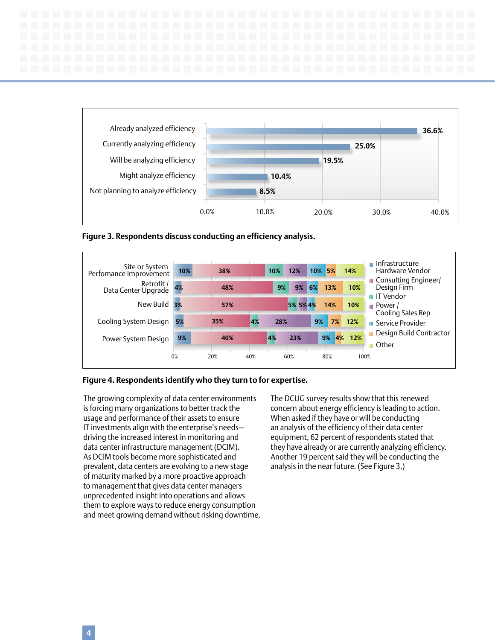



**Figure 3. Respondents discuss conducting an efficiency analysis.**



#### **Figure 4. Respondents identify who they turn to for expertise.**

The growing complexity of data center environments is forcing many organizations to better track the usage and performance of their assets to ensure IT investments align with the enterprise's needs driving the increased interest in monitoring and data center infrastructure management (DCIM). As DCIM tools become more sophisticated and prevalent, data centers are evolving to a new stage of maturity marked by a more proactive approach to management that gives data center managers unprecedented insight into operations and allows them to explore ways to reduce energy consumption and meet growing demand without risking downtime. The DCUG survey results show that this renewed concern about energy efficiency is leading to action. When asked if they have or will be conducting an analysis of the efficiency of their data center equipment, 62 percent of respondents stated that they have already or are currently analyzing efficiency. Another 19 percent said they will be conducting the analysis in the near future. (See Figure 3.)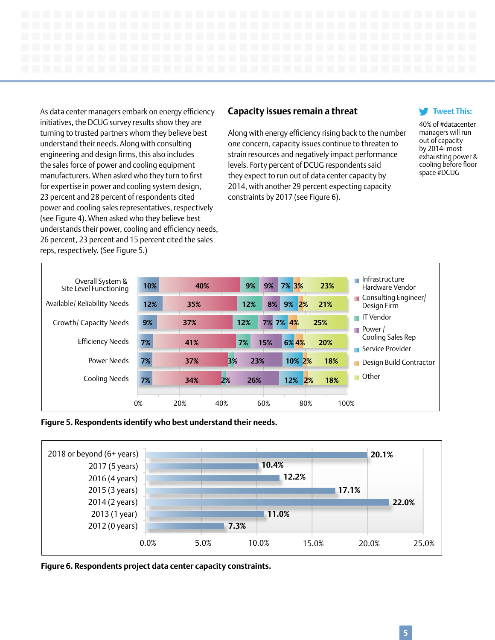As data center managers embark on energy efficiency initiatives, the DCUG survey results show they are turning to trusted partners whom they believe best understand their needs. Along with consulting engineering and design firms, this also includes the sales force of power and cooling equipment manufacturers. When asked who they turn to first for expertise in power and cooling system design, 23 percent and 28 percent of respondents cited power and cooling sales representatives, respectively (see Figure 4). When asked who they believe best understands their power, cooling and efficiency needs, 26 percent, 23 percent and 15 percent cited the sales reps, respectively. (See Figure 5.)

## **Capacity issues remain a threat**

Along with energy efficiency rising back to the number one concern, capacity issues continue to threaten to strain resources and negatively impact performance levels. Forty percent of DCUG respondents said they expect to run out of data center capacity by 2014, with another 29 percent expecting capacity constraints by 2017 (see Figure 6).

#### **[Tweet This:](http://clicktotweet.com/7Y3qr)**

40% of #datacenter managers will run out of capacity by 2014- most exhausting power & cooling before floor space #DCUG







**Figure 6. Respondents project data center capacity constraints.**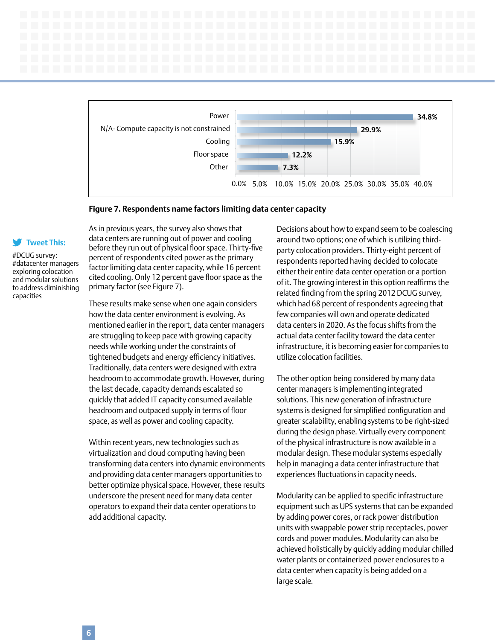

#### **Figure 7. Respondents name factors limiting data center capacity**

#### **[Tweet This:](http://clicktotweet.com/v_TxU)**

#DCUG survey: #datacenter managers exploring colocation and modular solutions to address diminishing capacities

As in previous years, the survey also shows that data centers are running out of power and cooling before they run out of physical floor space. Thirty-five percent of respondents cited power as the primary factor limiting data center capacity, while 16 percent cited cooling. Only 12 percent gave floor space as the primary factor (see Figure 7).

These results make sense when one again considers how the data center environment is evolving. As mentioned earlier in the report, data center managers are struggling to keep pace with growing capacity needs while working under the constraints of tightened budgets and energy efficiency initiatives. Traditionally, data centers were designed with extra headroom to accommodate growth. However, during the last decade, capacity demands escalated so quickly that added IT capacity consumed available headroom and outpaced supply in terms of floor space, as well as power and cooling capacity.

Within recent years, new technologies such as virtualization and cloud computing having been transforming data centers into dynamic environments and providing data center managers opportunities to better optimize physical space. However, these results underscore the present need for many data center operators to expand their data center operations to add additional capacity.

Decisions about how to expand seem to be coalescing around two options; one of which is utilizing thirdparty colocation providers. Thirty-eight percent of respondents reported having decided to colocate either their entire data center operation or a portion of it. The growing interest in this option reaffirms the related finding from the spring 2012 DCUG survey, which had 68 percent of respondents agreeing that few companies will own and operate dedicated data centers in 2020. As the focus shifts from the actual data center facility toward the data center infrastructure, it is becoming easier for companies to utilize colocation facilities.

The other option being considered by many data center managers is implementing integrated solutions. This new generation of infrastructure systems is designed for simplified configuration and greater scalability, enabling systems to be right-sized during the design phase. Virtually every component of the physical infrastructure is now available in a modular design. These modular systems especially help in managing a data center infrastructure that experiences fluctuations in capacity needs.

Modularity can be applied to specific infrastructure equipment such as UPS systems that can be expanded by adding power cores, or rack power distribution units with swappable power strip receptacles, power cords and power modules. Modularity can also be achieved holistically by quickly adding modular chilled water plants or containerized power enclosures to a data center when capacity is being added on a large scale.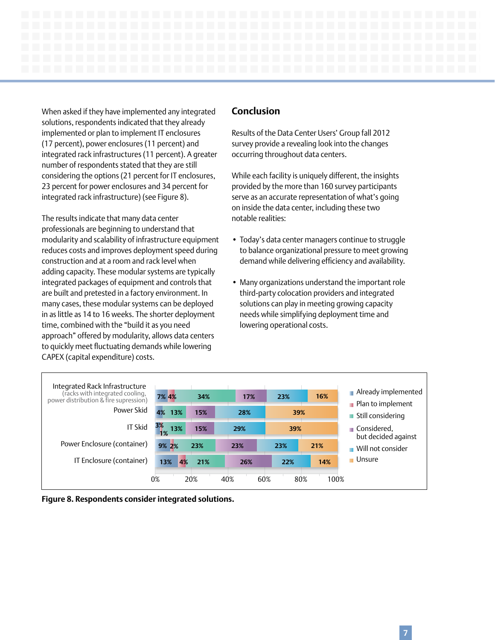When asked if they have implemented any integrated solutions, respondents indicated that they already implemented or plan to implement IT enclosures (17 percent), power enclosures (11 percent) and integrated rack infrastructures (11 percent). A greater number of respondents stated that they are still considering the options (21 percent for IT enclosures, 23 percent for power enclosures and 34 percent for integrated rack infrastructure) (see Figure 8).

The results indicate that many data center professionals are beginning to understand that modularity and scalability of infrastructure equipment reduces costs and improves deployment speed during construction and at a room and rack level when adding capacity. These modular systems are typically integrated packages of equipment and controls that are built and pretested in a factory environment. In many cases, these modular systems can be deployed in as little as 14 to 16 weeks. The shorter deployment time, combined with the "build it as you need approach" offered by modularity, allows data centers to quickly meet fluctuating demands while lowering CAPEX (capital expenditure) costs.

### **Conclusion**

Results of the Data Center Users' Group fall 2012 survey provide a revealing look into the changes occurring throughout data centers.

While each facility is uniquely different, the insights provided by the more than 160 survey participants serve as an accurate representation of what's going on inside the data center, including these two notable realities:

- Today's data center managers continue to struggle to balance organizational pressure to meet growing demand while delivering efficiency and availability.
- Many organizations understand the important role third-party colocation providers and integrated solutions can play in meeting growing capacity needs while simplifying deployment time and lowering operational costs.